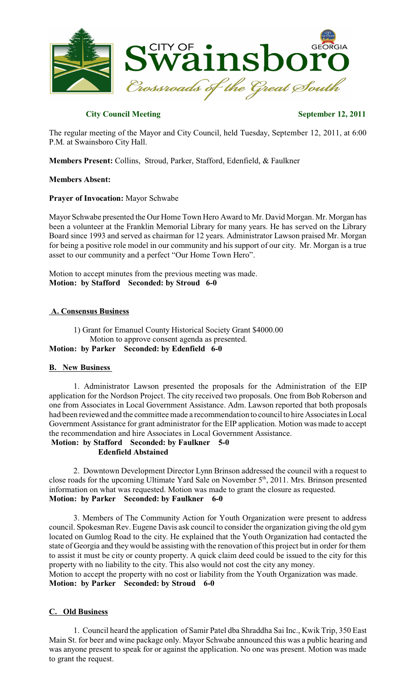

# **City Council Meeting September 12, 2011**

The regular meeting of the Mayor and City Council, held Tuesday, September 12, 2011, at 6:00 P.M. at Swainsboro City Hall.

**Members Present:** Collins, Stroud, Parker, Stafford, Edenfield, & Faulkner

#### **Members Absent:**

#### **Prayer of Invocation:** Mayor Schwabe

Mayor Schwabe presented the Our Home Town Hero Award to Mr. David Morgan. Mr. Morgan has been a volunteer at the Franklin Memorial Library for many years. He has served on the Library Board since 1993 and served as chairman for 12 years. Administrator Lawson praised Mr. Morgan for being a positive role model in our community and his support of our city. Mr. Morgan is a true asset to our community and a perfect "Our Home Town Hero".

Motion to accept minutes from the previous meeting was made. **Motion: by Stafford Seconded: by Stroud 6-0**

# **A. Consensus Business**

# 1) Grant for Emanuel County Historical Society Grant \$4000.00 Motion to approve consent agenda as presented. **Motion: by Parker Seconded: by Edenfield 6-0**

#### **B. New Business**

1. Administrator Lawson presented the proposals for the Administration of the EIP application for the Nordson Project. The city received two proposals. One from Bob Roberson and one from Associates in Local Government Assistance. Adm. Lawson reported that both proposals had been reviewed and the committee made a recommendation to council to hire Associates in Local Government Assistance for grant administrator for the EIP application. Motion was made to accept the recommendation and hire Associates in Local Government Assistance.

### **Motion: by Stafford Seconded: by Faulkner 5-0 Edenfield Abstained**

2. Downtown Development Director Lynn Brinson addressed the council with a request to close roads for the upcoming Ultimate Yard Sale on November 5<sup>th</sup>, 2011. Mrs. Brinson presented information on what was requested. Motion was made to grant the closure as requested. **Motion: by Parker Seconded: by Faulkner 6-0**

3. Members of The Community Action for Youth Organization were present to address council. Spokesman Rev. Eugene Davis ask council to consider the organization giving the old gym located on Gumlog Road to the city. He explained that the Youth Organization had contacted the state of Georgia and they would be assisting with the renovation of this project but in order for them to assist it must be city or county property. A quick claim deed could be issued to the city for this property with no liability to the city. This also would not cost the city any money.

Motion to accept the property with no cost or liability from the Youth Organization was made. **Motion: by Parker Seconded: by Stroud 6-0**

### **C. Old Business**

1. Council heard the application of Samir Patel dba Shraddha Sai Inc., Kwik Trip, 350 East Main St. for beer and wine package only. Mayor Schwabe announced this was a public hearing and was anyone present to speak for or against the application. No one was present. Motion was made to grant the request.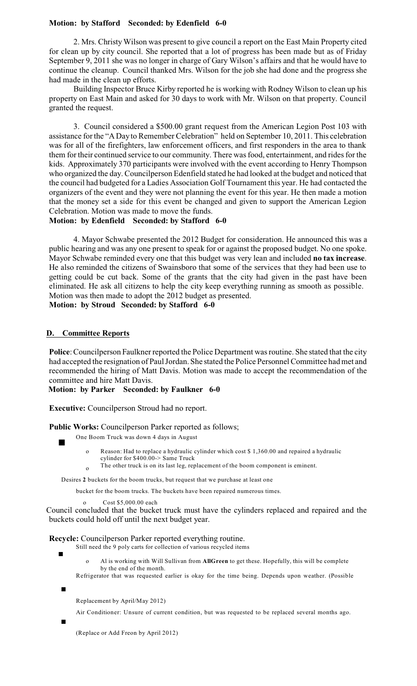### **Motion: by Stafford Seconded: by Edenfield 6-0**

2. Mrs. Christy Wilson was present to give council a report on the East Main Property cited for clean up by city council. She reported that a lot of progress has been made but as of Friday September 9, 2011 she was no longer in charge of Gary Wilson's affairs and that he would have to continue the cleanup. Council thanked Mrs. Wilson for the job she had done and the progress she had made in the clean up efforts.

Building Inspector Bruce Kirby reported he is working with Rodney Wilson to clean up his property on East Main and asked for 30 days to work with Mr. Wilson on that property. Council granted the request.

3. Council considered a \$500.00 grant request from the American Legion Post 103 with assistance for the "A Dayto Remember Celebration" held on September 10, 2011. This celebration was for all of the firefighters, law enforcement officers, and first responders in the area to thank them for their continued service to our community. There was food, entertainment, and rides for the kids. Approximately 370 participants were involved with the event according to Henry Thompson who organized the day. Councilperson Edenfield stated he had looked at the budget and noticed that the council had budgeted for a Ladies Association Golf Tournament this year. He had contacted the organizers of the event and they were not planning the event for this year. He then made a motion that the money set a side for this event be changed and given to support the American Legion Celebration. Motion was made to move the funds.

## **Motion: by Edenfield Seconded: by Stafford 6-0**

4. Mayor Schwabe presented the 2012 Budget for consideration. He announced this was a public hearing and was any one present to speak for or against the proposed budget. No one spoke. Mayor Schwabe reminded every one that this budget was very lean and included **no tax increase**. He also reminded the citizens of Swainsboro that some of the services that they had been use to getting could be cut back. Some of the grants that the city had given in the past have been eliminated. He ask all citizens to help the city keep everything running as smooth as possible. Motion was then made to adopt the 2012 budget as presented.

**Motion: by Stroud Seconded: by Stafford 6-0**

## **D. Committee Reports**

o

**Police**: Councilperson Faulkner reported the Police Department was routine. She stated that the city had accepted the resignation of Paul Jordan. She stated the Police Personnel Committee had met and recommended the hiring of Matt Davis. Motion was made to accept the recommendation of the committee and hire Matt Davis.

 **Motion: by Parker Seconded: by Faulkner 6-0**

**Executive:** Councilperson Stroud had no report.

#### **Public Works:** Councilperson Parker reported as follows;

- One Boom Truck was down 4 days in August
	- o Reason: Had to replace a hydraulic cylinder which cost \$ 1,360.00 and repaired a hydraulic
		- cylinder for \$400.00-> Same Truck
		- The other truck is on its last leg, replacement of the boom component is eminent.

Desires **2** buckets for the boom trucks, but request that we purchase at least one

bucket for the boom trucks. The buckets have been repaired numerous times.

o Cost \$5,000.00 each

Council concluded that the bucket truck must have the cylinders replaced and repaired and the buckets could hold off until the next budget year.

**Recycle:** Councilperson Parker reported everything routine.

- Still need the 9 poly carts for collection of various recycled items
	- o Al is working with Will Sullivan from **AllGreen** to get these. Hopefully, this will be complete by the end of the month.
	- Refrigerator that was requested earlier is okay for the time being. Depends upon weather. (Possible
- $\blacksquare$

Replacement by April/May 2012)

Air Conditioner: Unsure of current condition, but was requested to be replaced several months ago.

 $\blacksquare$ 

(Replace or Add Freon by April 2012)